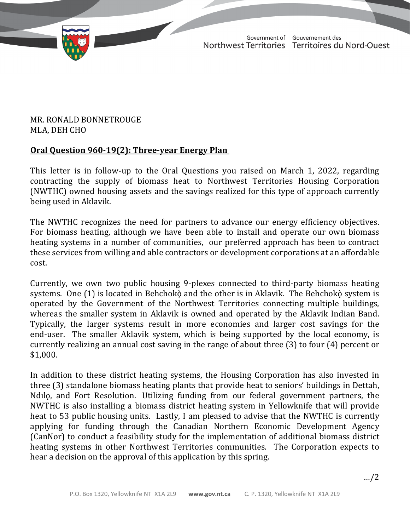TD 608-19(2) TABLED ON MARCH 28, 2022

Government of Gouvernement des Northwest Territories Territoires du Nord-Ouest

March 23, 2022

## MR. RONALD BONNETROUGE MLA, DEH CHO

## **Oral Question 960-19(2): Three-year Energy Plan**

This letter is in follow-up to the Oral Questions you raised on March 1, 2022, regarding contracting the supply of biomass heat to Northwest Territories Housing Corporation (NWTHC) owned housing assets and the savings realized for this type of approach currently being used in Aklavik.

The NWTHC recognizes the need for partners to advance our energy efficiency objectives. For biomass heating, although we have been able to install and operate our own biomass heating systems in a number of communities, our preferred approach has been to contract these services from willing and able contractors or development corporations at an affordable cost.

Currently, we own two public housing 9-plexes connected to third-party biomass heating systems. One (1) is located in Behchokò and the other is in Aklavik. The Behchokò system is operated by the Government of the Northwest Territories connecting multiple buildings, whereas the smaller system in Aklavik is owned and operated by the Aklavik Indian Band. Typically, the larger systems result in more economies and larger cost savings for the end-user. The smaller Aklavik system, which is being supported by the local economy, is currently realizing an annual cost saving in the range of about three (3) to four (4) percent or \$1,000.

In addition to these district heating systems, the Housing Corporation has also invested in three (3) standalone biomass heating plants that provide heat to seniors' buildings in Dettah, Ndılǫ, and Fort Resolution. Utilizing funding from our federal government partners, the NWTHC is also installing a biomass district heating system in Yellowknife that will provide heat to 53 public housing units. Lastly, I am pleased to advise that the NWTHC is currently applying for funding through the Canadian Northern Economic Development Agency (CanNor) to conduct a feasibility study for the implementation of additional biomass district heating systems in other Northwest Territories communities. The Corporation expects to hear a decision on the approval of this application by this spring.